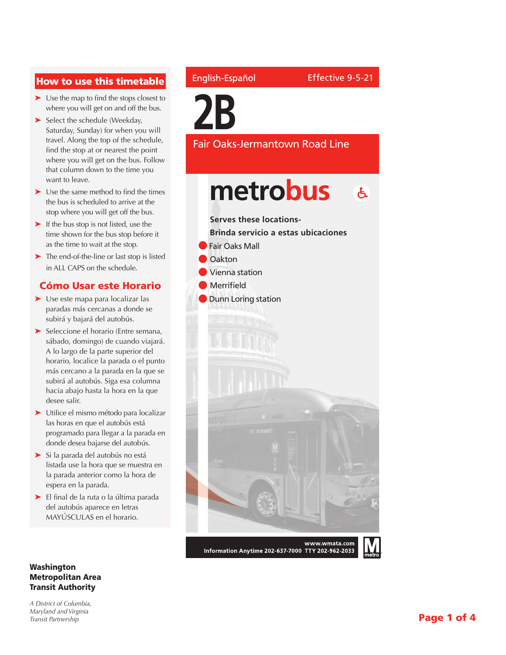#### How to use this timetable

- ➤ Use the map to find the stops closest to where you will get on and off the bus.
- ➤ Select the schedule (Weekday, Saturday, Sunday) for when you will travel. Along the top of the schedule, find the stop at or nearest the point where you will get on the bus. Follow that column down to the time you want to leave.
- ➤ Use the same method to find the times the bus is scheduled to arrive at the stop where you will get off the bus.
- ➤ If the bus stop is not listed, use the time shown for the bus stop before it as the time to wait at the stop.
- ➤ The end-of-the-line or last stop is listed in ALL CAPS on the schedule.

#### Cómo Usar este Horario

- ➤ Use este mapa para localizar las paradas más cercanas a donde se subirá y bajará del autobús.
- ➤ Seleccione el horario (Entre semana, sábado, domingo) de cuando viajará. A lo largo de la parte superior del horario, localice la parada o el punto más cercano a la parada en la que se subirá al autobús. Siga esa columna hacia abajo hasta la hora en la que desee salir.
- ➤ Utilice el mismo método para localizar las horas en que el autobús está programado para llegar a la parada en donde desea bajarse del autobús.
- ➤ Si la parada del autobús no está listada use la hora que se muestra en la parada anterior como la hora de espera en la parada.
- ➤ El final de la ruta o la última parada del autobús aparece en letras MAYÚSCULAS en el horario.

#### Washington Metropolitan Area Transit Authority

*A District of Columbia, Maryland and Virginia Transit Partnership*

#### English-Español

**2B**

Effective 9-5-21



Fair Oaks-Jermantown Road Line

Information Anytime 202-637-7000 TTY 202-962-2033

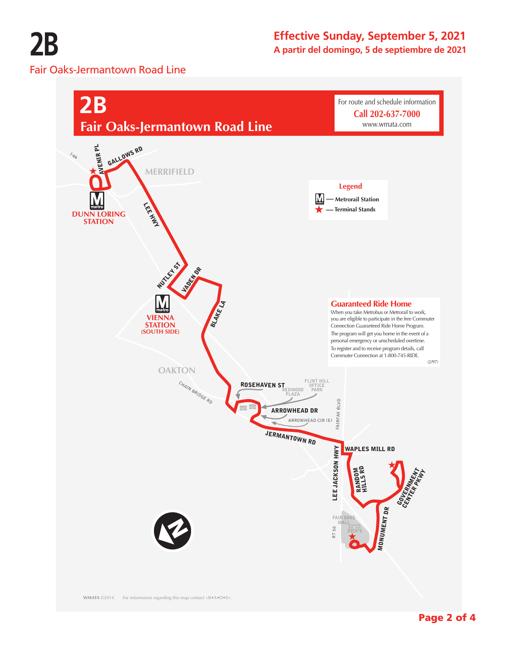**2B** Fair Oaks-Jermantown Road Line

# **Effective Sunday, September 5, 2021**

**A partir del domingo, 5 de septiembre de 2021**



(2/97)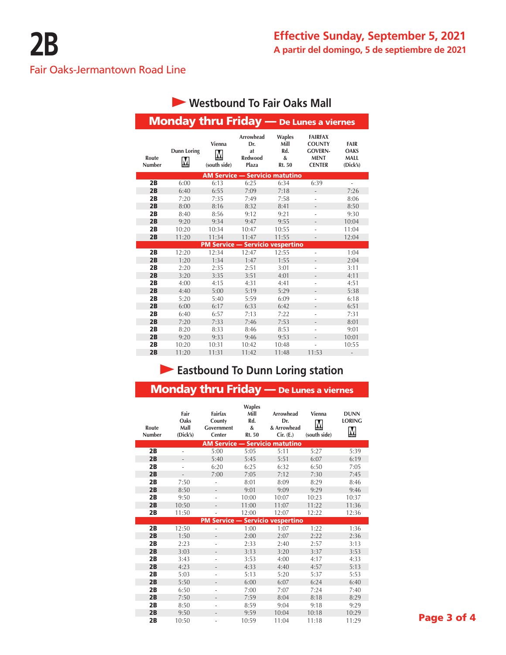## Fair Oaks-Jermantown Road Line

| Westbound To Fair Oaks Mall |                                                |                        |                                            |                                                    |                                                                                   |                                                       |  |
|-----------------------------|------------------------------------------------|------------------------|--------------------------------------------|----------------------------------------------------|-----------------------------------------------------------------------------------|-------------------------------------------------------|--|
|                             | <b>Monday thru Friday - De Lunes a viernes</b> |                        |                                            |                                                    |                                                                                   |                                                       |  |
| Route<br>Number             | <b>Dunn Loring</b><br>M                        | Vienna<br>(south side) | Arrowhead<br>Dr.<br>at<br>Redwood<br>Plaza | <b>Waples</b><br>Mill<br>Rd.<br>&<br><b>Rt. 50</b> | <b>FAIRFAX</b><br><b>COUNTY</b><br><b>GOVERN-</b><br><b>MENT</b><br><b>CENTER</b> | <b>FAIR</b><br><b>OAKS</b><br><b>MALL</b><br>(Dick's) |  |
|                             |                                                |                        | <b>AM Service - Servicio matutino</b>      |                                                    |                                                                                   |                                                       |  |
| 2B                          | 6:00                                           | 6:13                   | 6:25                                       | 6:34                                               | 6:39                                                                              | ä,                                                    |  |
| 2B                          | 6:40                                           | 6:55                   | 7:09                                       | 7:18                                               | $\qquad \qquad \blacksquare$                                                      | 7:26                                                  |  |
| 2B                          | 7:20                                           | 7:35                   | 7:49                                       | 7:58                                               | ÷                                                                                 | 8:06                                                  |  |
| 2B                          | 8:00                                           | 8:16                   | 8:32                                       | 8:41                                               |                                                                                   | 8:50                                                  |  |
| 2B                          | 8:40                                           | 8:56                   | 9:12                                       | 9:21                                               |                                                                                   | 9:30                                                  |  |
| 2B                          | 9:20                                           | 9:34                   | 9:47                                       | 9:55                                               | $\overline{a}$                                                                    | 10:04                                                 |  |
| 2B                          | 10:20                                          | 10:34                  | 10:47                                      | 10:55                                              | ÷                                                                                 | 11:04                                                 |  |
| 2B                          | 11:20                                          | 11:34                  | 11:47                                      | 11:55                                              | $\overline{a}$                                                                    | 12:04                                                 |  |
|                             |                                                |                        | <b>PM Service - Servicio vespertino</b>    |                                                    |                                                                                   |                                                       |  |
| 2B                          | 12:20                                          | 12:34                  | 12:47                                      | 12:55                                              | ٠                                                                                 | 1:04                                                  |  |
| 2B                          | 1:20                                           | 1:34                   | 1:47                                       | 1:55                                               | $\overline{\phantom{0}}$                                                          | 2:04                                                  |  |
| 2B                          | 2:20                                           | 2:35                   | 2:51                                       | 3:01                                               | ä,                                                                                | 3:11                                                  |  |
| 2B                          | 3:20                                           | 3:35                   | 3:51                                       | 4:01                                               | $\overline{\phantom{0}}$                                                          | 4:11                                                  |  |
| 2B                          | 4:00                                           | 4:15                   | 4:31                                       | 4:41                                               |                                                                                   | 4:51                                                  |  |
| 2B                          | 4:40                                           | 5:00                   | 5:19                                       | 5:29                                               | $\overline{\phantom{0}}$                                                          | 5:38                                                  |  |
| 2B                          | 5:20                                           | 5:40                   | 5:59                                       | 6:09                                               | i.                                                                                | 6:18                                                  |  |
| 2B                          | 6:00                                           | 6:17                   | 6:33                                       | 6:42                                               | $\overline{\phantom{0}}$                                                          | 6:51                                                  |  |
| 2B                          | 6:40                                           | 6:57                   | 7:13                                       | 7:22                                               | ٠                                                                                 | 7:31                                                  |  |
| 2B                          | 7:20                                           | 7:33                   | 7:46                                       | 7:53                                               | $\overline{a}$                                                                    | 8:01                                                  |  |
| 2B                          | 8:20                                           | 8:33                   | 8:46                                       | 8:53                                               |                                                                                   | 9:01                                                  |  |
| 2B                          | 9:20                                           | 9:33                   | 9:46                                       | 9:53                                               | $\overline{a}$                                                                    | 10:01                                                 |  |
| 2B                          | 10:20                                          | 10:31                  | 10:42                                      | 10:48                                              |                                                                                   | 10:55                                                 |  |
| 2B                          | 11:20                                          | 11:31                  | 11:42                                      | 11:48                                              | 11:53                                                                             |                                                       |  |

## **Eastbound To Dunn Loring station**

| <b>Monday thru Friday</b> - De Lunes a viernes |                                  |                                           |                                             |                                              |                             |                                   |  |
|------------------------------------------------|----------------------------------|-------------------------------------------|---------------------------------------------|----------------------------------------------|-----------------------------|-----------------------------------|--|
| Route<br><b>Number</b>                         | Fair<br>Oaks<br>Mall<br>(Dick's) | Fairfax<br>County<br>Government<br>Center | <b>Waples</b><br>Mill<br>Rd.<br>&<br>Rt. 50 | Arrowhead<br>Dr.<br>& Arrowhead<br>Cir. (E.) | Vienna<br>M<br>(south side) | <b>DUNN</b><br><b>LORING</b><br>M |  |
|                                                |                                  |                                           |                                             | <b>AM Service - Servicio matutino</b>        |                             |                                   |  |
| 2B                                             | ÷,                               | 5:00                                      | 5:05                                        | 5:11                                         | 5:27                        | 5:39                              |  |
| 2B                                             | Ĭ.                               | 5:40                                      | 5:45                                        | 5:51                                         | 6:07                        | 6:19                              |  |
| 2B                                             | ٠                                | 6:20                                      | 6:25                                        | 6:32                                         | 6:50                        | 7:05                              |  |
| 2B                                             | $\overline{\phantom{a}}$         | 7:00                                      | 7:05                                        | 7:12                                         | 7:30                        | 7:45                              |  |
| 2B                                             | 7:50                             |                                           | 8:01                                        | 8:09                                         | 8:29                        | 8:46                              |  |
| 2B                                             | 8:50                             | $\overline{\phantom{0}}$                  | 9:01                                        | 9:09                                         | 9:29                        | 9:46                              |  |
| 2B                                             | 9:50                             | ٠                                         | 10:00                                       | 10:07                                        | 10:23                       | 10:37                             |  |
| 2B                                             | 10:50                            | -                                         | 11:00                                       | 11:07                                        | 11:22                       | 11:36                             |  |
| 2B                                             | 11:50                            |                                           | 12:00                                       | 12:07                                        | 12:22                       | 12:36                             |  |
| <b>PM Service - Servicio vespertino</b>        |                                  |                                           |                                             |                                              |                             |                                   |  |
| 2B                                             | 12:50                            | ä,                                        | 1:00                                        | 1:07                                         | 1:22                        | 1:36                              |  |
| 2B                                             | 1:50                             | $\overline{\phantom{0}}$                  | 2:00                                        | 2:07                                         | 2:22                        | 2:36                              |  |
| 2B                                             | 2:23                             | ÷                                         | 2:33                                        | 2:40                                         | 2:57                        | 3:13                              |  |
| 2B                                             | 3:03                             | $\overline{\phantom{0}}$                  | 3:13                                        | 3:20                                         | 3:37                        | 3:53                              |  |
| 2B                                             | 3:43                             | ÷                                         | 3:53                                        | 4:00                                         | 4:17                        | 4:33                              |  |
| 2B                                             | 4:23                             | $\overline{a}$                            | 4:33                                        | 4:40                                         | 4:57                        | 5:13                              |  |
| 2B                                             | 5:03                             | ä,                                        | 5:13                                        | 5:20                                         | 5:37                        | 5:53                              |  |
| 2B                                             | 5:50                             | $\overline{\phantom{a}}$                  | 6:00                                        | 6:07                                         | 6:24                        | 6:40                              |  |
| 2B                                             | 6:50                             | ÷                                         | 7:00                                        | 7:07                                         | 7:24                        | 7:40                              |  |
| 2B                                             | 7:50                             | $\overline{a}$                            | 7:59                                        | 8:04                                         | 8:18                        | 8:29                              |  |
| 2B                                             | 8:50                             | ÷                                         | 8:59                                        | 9:04                                         | 9:18                        | 9:29                              |  |
| 2B                                             | 9:50                             | ÷                                         | 9:59                                        | 10:04                                        | 10:18                       | 10:29                             |  |
| 2B                                             | 10:50                            |                                           | 10:59                                       | 11:04                                        | 11:18                       | 11:29                             |  |